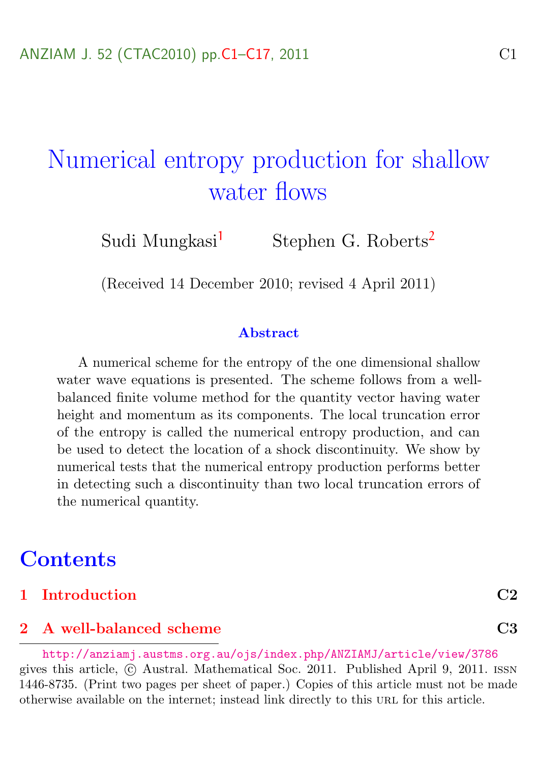# <span id="page-0-0"></span>Numerical entropy production for shallow water flows

Sudi Mungkasi<sup>[1](#page-16-1)</sup> Stephen G. Roberts<sup>[2](#page-16-0)</sup>

(Received 14 December 2010; revised 4 April 2011)

#### Abstract

A numerical scheme for the entropy of the one dimensional shallow water wave equations is presented. The scheme follows from a wellbalanced finite volume method for the quantity vector having water height and momentum as its components. The local truncation error of the entropy is called the numerical entropy production, and can be used to detect the location of a shock discontinuity. We show by numerical tests that the numerical entropy production performs better in detecting such a discontinuity than two local truncation errors of the numerical quantity.

## **Contents**

[1 Introduction](#page-1-0) C2

#### [2 A well-balanced scheme](#page-2-0) C3

<http://anziamj.austms.org.au/ojs/index.php/ANZIAMJ/article/view/3786> gives this article,  $\odot$  Austral. Mathematical Soc. 2011. Published April 9, 2011. ISSN 1446-8735. (Print two pages per sheet of paper.) Copies of this article must not be made otherwise available on the internet; instead link directly to this URL for this article.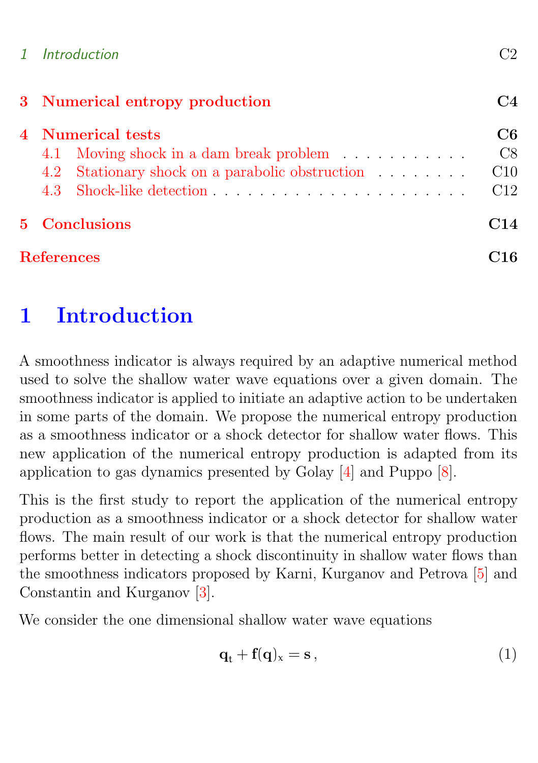<span id="page-1-2"></span>

|  | ിറ<br>ĴΖ |
|--|----------|

|                      | 3 Numerical entropy production                                                                                         |                        |
|----------------------|------------------------------------------------------------------------------------------------------------------------|------------------------|
|                      | $4$ $\,$ Numerical tests<br>4.1 Moving shock in a dam break problem<br>4.2 Stationary shock on a parabolic obstruction | C6<br>C8<br>C10<br>C12 |
| <b>5</b> Conclusions |                                                                                                                        | C <sub>14</sub>        |
| <b>References</b>    |                                                                                                                        |                        |

# <span id="page-1-0"></span>1 Introduction

A smoothness indicator is always required by an adaptive numerical method used to solve the shallow water wave equations over a given domain. The smoothness indicator is applied to initiate an adaptive action to be undertaken in some parts of the domain. We propose the numerical entropy production as a smoothness indicator or a shock detector for shallow water flows. This new application of the numerical entropy production is adapted from its application to gas dynamics presented by Golay [\[4\]](#page-15-1) and Puppo [\[8\]](#page-16-2).

This is the first study to report the application of the numerical entropy production as a smoothness indicator or a shock detector for shallow water flows. The main result of our work is that the numerical entropy production performs better in detecting a shock discontinuity in shallow water flows than the smoothness indicators proposed by Karni, Kurganov and Petrova [\[5\]](#page-15-2) and Constantin and Kurganov [\[3\]](#page-15-3).

We consider the one dimensional shallow water wave equations

<span id="page-1-1"></span>
$$
\mathbf{q}_{t} + \mathbf{f}(\mathbf{q})_{x} = \mathbf{s} \,, \tag{1}
$$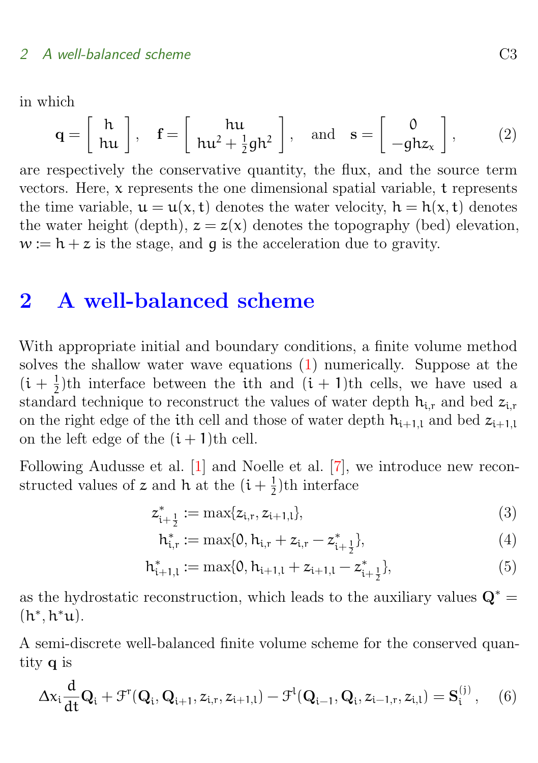<span id="page-2-4"></span>in which

$$
\mathbf{q} = \left[ \begin{array}{c} \mathbf{h} \\ \mathbf{hu} \end{array} \right], \quad \mathbf{f} = \left[ \begin{array}{c} \mathbf{hu} \\ \mathbf{hu}^2 + \frac{1}{2} \mathbf{gh}^2 \end{array} \right], \quad \text{and} \quad \mathbf{s} = \left[ \begin{array}{c} 0 \\ -g \mathbf{hz}_x \end{array} \right], \tag{2}
$$

are respectively the conservative quantity, the flux, and the source term vectors. Here, x represents the one dimensional spatial variable, t represents the time variable,  $u = u(x, t)$  denotes the water velocity,  $h = h(x, t)$  denotes the water height (depth),  $z = z(x)$  denotes the topography (bed) elevation,  $w := h + z$  is the stage, and g is the acceleration due to gravity.

### <span id="page-2-0"></span>2 A well-balanced scheme

With appropriate initial and boundary conditions, a finite volume method solves the shallow water wave equations [\(1\)](#page-1-1) numerically. Suppose at the  $(i + \frac{1}{2})$  $\frac{1}{2}$ th interface between the ith and  $(i + 1)$ th cells, we have used a standard technique to reconstruct the values of water depth  $h_{i,r}$  and bed  $z_{i,r}$ on the right edge of the ith cell and those of water depth  $h_{i+1,l}$  and bed  $z_{i+1,l}$ on the left edge of the  $(i + 1)$ th cell.

Following Audusse et al. [\[1\]](#page-15-4) and Noelle et al. [\[7\]](#page-15-5), we introduce new reconstructed values of z and h at the  $(i + \frac{1}{2})$  $\frac{1}{2}$ )th interface

$$
z_{i+\frac{1}{2}}^* := \max\{z_{i,r}, z_{i+1,l}\},\tag{3}
$$

<span id="page-2-3"></span><span id="page-2-2"></span>
$$
h_{i,r}^* := \max\{0, h_{i,r} + z_{i,r} - z_{i+\frac{1}{2}}^*\},\tag{4}
$$

$$
h_{i+1,l}^* := \max\{0, h_{i+1,l} + z_{i+1,l} - z_{i+\frac{1}{2}}^*\},\tag{5}
$$

as the hydrostatic reconstruction, which leads to the auxiliary values  $\mathbf{Q}^* =$  $(h^*, h^*u).$ 

A semi-discrete well-balanced finite volume scheme for the conserved quantity q is

<span id="page-2-1"></span>
$$
\Delta x_i \frac{d}{dt} \mathbf{Q}_i + \mathcal{F}^{\mathsf{T}}(\mathbf{Q}_i, \mathbf{Q}_{i+1}, z_{i,r}, z_{i+1,l}) - \mathcal{F}^{\mathsf{I}}(\mathbf{Q}_{i-1}, \mathbf{Q}_i, z_{i-1,r}, z_{i,l}) = \mathbf{S}_i^{(j)}, \quad (6)
$$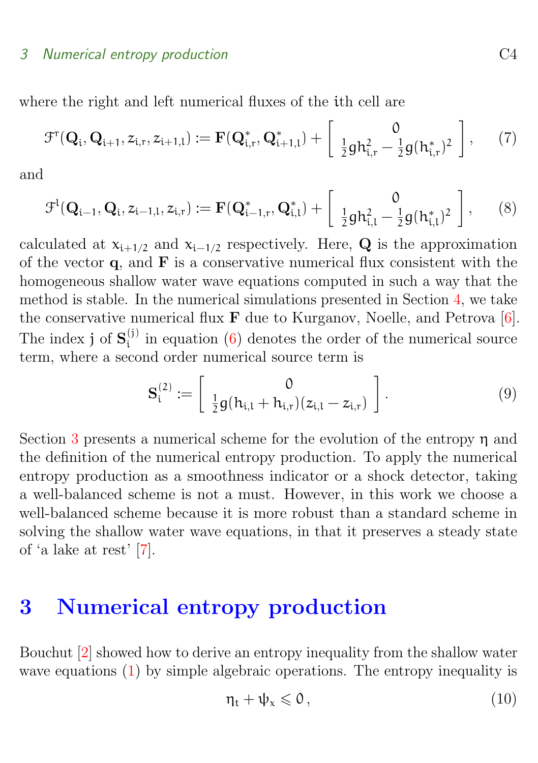#### <span id="page-3-2"></span>3 Numerical entropy production C4

where the right and left numerical fluxes of the ith cell are

$$
\mathcal{F}^{\mathsf{T}}(\mathbf{Q}_{i},\mathbf{Q}_{i+1},z_{i,r},z_{i+1,l}) := \mathbf{F}(\mathbf{Q}_{i,r}^{*},\mathbf{Q}_{i+1,l}^{*}) + \left[\begin{array}{cc} 0\\ \frac{1}{2}gh_{i,r}^{2} - \frac{1}{2}g(h_{i,r}^{*})^{2} \end{array}\right],\qquad(7)
$$

and

$$
\mathcal{F}^{l}(\mathbf{Q}_{i-1}, \mathbf{Q}_{i}, z_{i-1,l}, z_{i,r}) := \mathbf{F}(\mathbf{Q}_{i-1,r}^{*}, \mathbf{Q}_{i,l}^{*}) + \begin{bmatrix} 0\\ \frac{1}{2}gh_{i,l}^{2} - \frac{1}{2}g(h_{i,l}^{*})^{2} \end{bmatrix},
$$
(8)

calculated at  $x_{i+1/2}$  and  $x_{i-1/2}$  respectively. Here, Q is the approximation of the vector  $\boldsymbol{q}$ , and  $\boldsymbol{F}$  is a conservative numerical flux consistent with the homogeneous shallow water wave equations computed in such a way that the method is stable. In the numerical simulations presented in Section [4,](#page-5-0) we take the conservative numerical flux F due to Kurganov, Noelle, and Petrova [\[6\]](#page-15-6). The index j of  $S_i^{(j)}$  $\binom{0}{i}$  in equation [\(6\)](#page-2-1) denotes the order of the numerical source term, where a second order numerical source term is

$$
\mathbf{S}_{i}^{(2)} := \left[ \begin{array}{c} 0 \\ \frac{1}{2}g(h_{i,l} + h_{i,r})(z_{i,l} - z_{i,r}) \end{array} \right]. \tag{9}
$$

Section [3](#page-3-0) presents a numerical scheme for the evolution of the entropy η and the definition of the numerical entropy production. To apply the numerical entropy production as a smoothness indicator or a shock detector, taking a well-balanced scheme is not a must. However, in this work we choose a well-balanced scheme because it is more robust than a standard scheme in solving the shallow water wave equations, in that it preserves a steady state of 'a lake at rest' [\[7\]](#page-15-5).

# <span id="page-3-0"></span>3 Numerical entropy production

Bouchut [\[2\]](#page-15-7) showed how to derive an entropy inequality from the shallow water wave equations [\(1\)](#page-1-1) by simple algebraic operations. The entropy inequality is

<span id="page-3-1"></span>
$$
\eta_t + \psi_x \leqslant 0 \,, \tag{10}
$$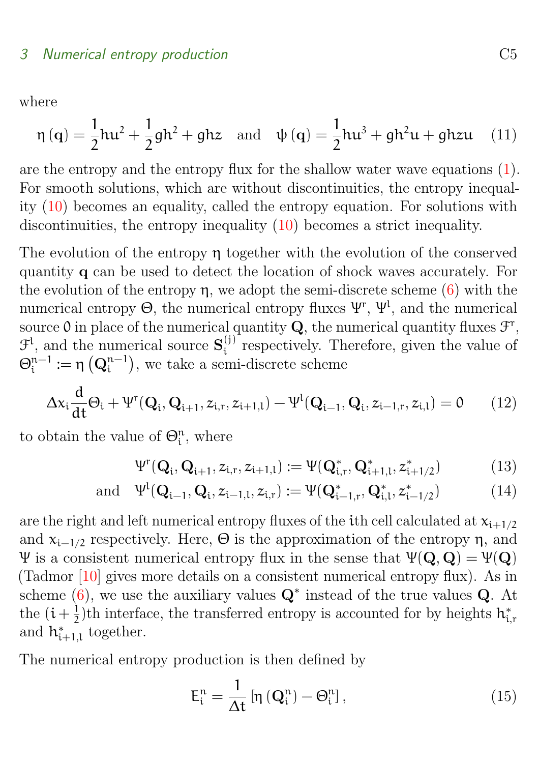<span id="page-4-2"></span>where

$$
\eta(q) = \frac{1}{2}hu^2 + \frac{1}{2}gh^2 + ghz \text{ and } \psi(q) = \frac{1}{2}hu^3 + gh^2u + ghzu \quad (11)
$$

are the entropy and the entropy flux for the shallow water wave equations [\(1\)](#page-1-1). For smooth solutions, which are without discontinuities, the entropy inequality [\(10\)](#page-3-1) becomes an equality, called the entropy equation. For solutions with discontinuities, the entropy inequality [\(10\)](#page-3-1) becomes a strict inequality.

The evolution of the entropy η together with the evolution of the conserved quantity q can be used to detect the location of shock waves accurately. For the evolution of the entropy  $\eta$ , we adopt the semi-discrete scheme [\(6\)](#page-2-1) with the numerical entropy  $\Theta$ , the numerical entropy fluxes  $\Psi^{r}$ ,  $\Psi^{l}$ , and the numerical source 0 in place of the numerical quantity  $Q$ , the numerical quantity fluxes  $\mathcal{F}^r$ ,  $\mathcal{F}^{\mathfrak{l}}$ , and the numerical source  $\mathbf{S}_{i}^{(j)}$  $\binom{0}{i}$  respectively. Therefore, given the value of  $\Theta_{\rm i}^{\rm n-1}$  $\mathfrak{n}^{-1}:=\mathfrak{\eta}\left(\mathbf{Q}_{\mathfrak{i}}^{\mathfrak{n}-1}\right)$  $\binom{n-1}{i}$ , we take a semi-discrete scheme

<span id="page-4-0"></span>
$$
\Delta x_i \frac{d}{dt} \Theta_i + \Psi^r(\mathbf{Q}_i, \mathbf{Q}_{i+1}, z_{i,r}, z_{i+1,l}) - \Psi^l(\mathbf{Q}_{i-1}, \mathbf{Q}_i, z_{i-1,r}, z_{i,l}) = 0 \tag{12}
$$

to obtain the value of  $\Theta_i^n$ , where

$$
\Psi^{r}(\mathbf{Q}_{i}, \mathbf{Q}_{i+1}, z_{i,r}, z_{i+1,l}) := \Psi(\mathbf{Q}_{i,r}^{*}, \mathbf{Q}_{i+1,l}^{*}, z_{i+1/2}^{*})
$$
(13)

and 
$$
\Psi^l(\mathbf{Q}_{i-1}, \mathbf{Q}_i, z_{i-1,l}, z_{i,r}) := \Psi(\mathbf{Q}_{i-1,r}^*, \mathbf{Q}_{i,l}^*, z_{i-1/2}^*)
$$
 (14)

are the right and left numerical entropy fluxes of the ith cell calculated at  $x_{i+1/2}$ and  $x_{i-1/2}$  respectively. Here,  $\Theta$  is the approximation of the entropy  $\eta$ , and Ψ is a consistent numerical entropy flux in the sense that  $Ψ(Q, Q) = Ψ(Q)$ (Tadmor [\[10\]](#page-16-3) gives more details on a consistent numerical entropy flux). As in scheme [\(6\)](#page-2-1), we use the auxiliary values  $\mathbf{Q}^*$  instead of the true values  $\mathbf{Q}$ . At the  $(i+\frac{1}{2})$  $\frac{1}{2}$ )th interface, the transferred entropy is accounted for by heights  $h_{i,r}^*$ and  $h_{i+1,l}^*$  together.

The numerical entropy production is then defined by

<span id="page-4-1"></span>
$$
E_i^n = \frac{1}{\Delta t} \left[ \eta \left( \mathbf{Q}_i^n \right) - \Theta_i^n \right],\tag{15}
$$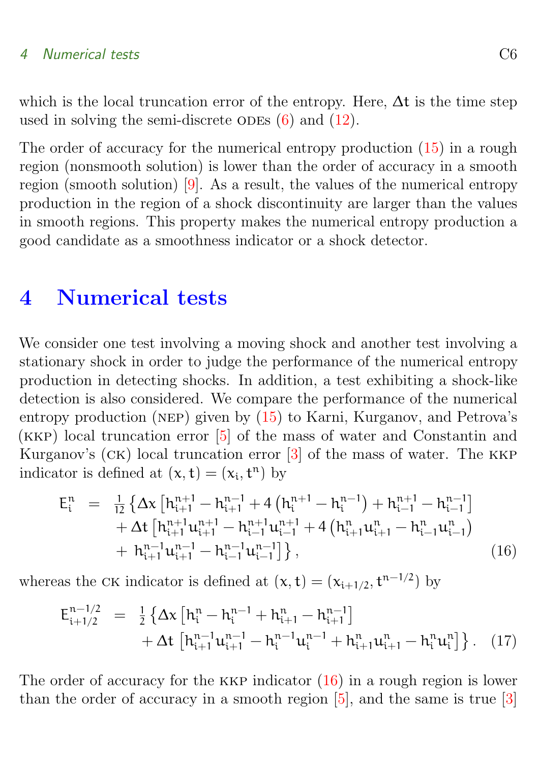<span id="page-5-3"></span>which is the local truncation error of the entropy. Here,  $\Delta t$  is the time step used in solving the semi-discrete ODEs  $(6)$  and  $(12)$ .

The order of accuracy for the numerical entropy production [\(15\)](#page-4-1) in a rough region (nonsmooth solution) is lower than the order of accuracy in a smooth region (smooth solution) [\[9\]](#page-16-4). As a result, the values of the numerical entropy production in the region of a shock discontinuity are larger than the values in smooth regions. This property makes the numerical entropy production a good candidate as a smoothness indicator or a shock detector.

### <span id="page-5-0"></span>4 Numerical tests

We consider one test involving a moving shock and another test involving a stationary shock in order to judge the performance of the numerical entropy production in detecting shocks. In addition, a test exhibiting a shock-like detection is also considered. We compare the performance of the numerical entropy production (nep) given by [\(15\)](#page-4-1) to Karni, Kurganov, and Petrova's (kkp) local truncation error [\[5\]](#page-15-2) of the mass of water and Constantin and Kurganov's (ck) local truncation error [\[3\]](#page-15-3) of the mass of water. The kkp indicator is defined at  $(x, t) = (x_i, t^n)$  by

<span id="page-5-1"></span>
$$
E_{i}^{n} = \frac{1}{12} \left\{ \Delta x \left[ h_{i+1}^{n+1} - h_{i+1}^{n-1} + 4 \left( h_{i}^{n+1} - h_{i}^{n-1} \right) + h_{i-1}^{n+1} - h_{i-1}^{n-1} \right] + \Delta t \left[ h_{i+1}^{n+1} u_{i+1}^{n+1} - h_{i-1}^{n+1} u_{i-1}^{n+1} + 4 \left( h_{i+1}^{n} u_{i+1}^{n} - h_{i-1}^{n} u_{i-1}^{n} \right) + h_{i+1}^{n-1} u_{i+1}^{n-1} - h_{i-1}^{n-1} u_{i-1}^{n-1} \right] \right\},
$$
\n(16)

whereas the CK indicator is defined at  $(x, t) = (x_{i+1/2}, t^{n-1/2})$  by

<span id="page-5-2"></span>
$$
E_{i+1/2}^{n-1/2} = \frac{1}{2} \left\{ \Delta x \left[ h_i^n - h_i^{n-1} + h_{i+1}^n - h_{i+1}^{n-1} \right] + \Delta t \left[ h_{i+1}^{n-1} u_{i+1}^{n-1} - h_i^{n-1} u_i^{n-1} + h_{i+1}^n u_{i+1}^n - h_i^n u_i^n \right] \right\}. \quad (17)
$$

The order of accuracy for the KKP indicator  $(16)$  in a rough region is lower than the order of accuracy in a smooth region  $[5]$ , and the same is true  $[3]$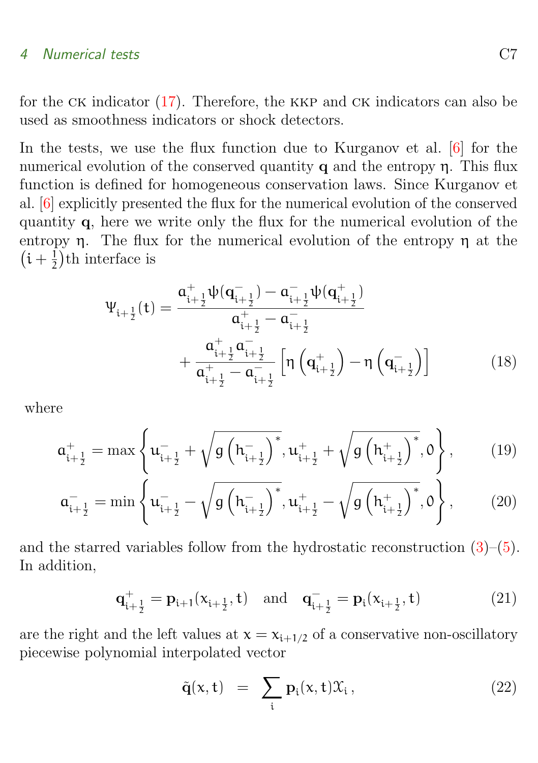<span id="page-6-0"></span>for the CK indicator  $(17)$ . Therefore, the KKP and CK indicators can also be used as smoothness indicators or shock detectors.

In the tests, we use the flux function due to Kurganov et al. [\[6\]](#page-15-6) for the numerical evolution of the conserved quantity  $q$  and the entropy  $\eta$ . This flux function is defined for homogeneous conservation laws. Since Kurganov et al. [\[6\]](#page-15-6) explicitly presented the flux for the numerical evolution of the conserved quantity q, here we write only the flux for the numerical evolution of the entropy  $\eta$ . The flux for the numerical evolution of the entropy  $\eta$  at the  $(i + \frac{1}{2})$  $(\frac{1}{2})$ th interface is

$$
\Psi_{i+\frac{1}{2}}(t) = \frac{\mathfrak{a}_{i+\frac{1}{2}}^{+}\psi(\mathbf{q}_{i+\frac{1}{2}}^{-}) - \mathfrak{a}_{i+\frac{1}{2}}^{-}\psi(\mathbf{q}_{i+\frac{1}{2}}^{+})}{\mathfrak{a}_{i+\frac{1}{2}}^{+} - \mathfrak{a}_{i+\frac{1}{2}}^{-}} + \frac{\mathfrak{a}_{i+\frac{1}{2}}^{+}\mathfrak{a}_{i+\frac{1}{2}}^{-}}{\mathfrak{a}_{i+\frac{1}{2}}^{+} - \mathfrak{a}_{i+\frac{1}{2}}^{-}} \left[\eta\left(\mathbf{q}_{i+\frac{1}{2}}^{+}\right) - \eta\left(\mathbf{q}_{i+\frac{1}{2}}^{-}\right)\right]
$$
(18)

where

$$
\mathbf{a}_{i+\frac{1}{2}}^{+} = \max \left\{ \mathbf{u}_{i+\frac{1}{2}}^{-} + \sqrt{g\left(h_{i+\frac{1}{2}}^{-}\right)^{*}}, \mathbf{u}_{i+\frac{1}{2}}^{+} + \sqrt{g\left(h_{i+\frac{1}{2}}^{+}\right)^{*}}, 0 \right\},\qquad(19)
$$

$$
\mathbf{a}_{i+\frac{1}{2}}^{-} = \min \left\{ \mathbf{u}_{i+\frac{1}{2}}^{-} - \sqrt{g\left(h_{i+\frac{1}{2}}^{-}\right)^{*}}, \mathbf{u}_{i+\frac{1}{2}}^{+} - \sqrt{g\left(h_{i+\frac{1}{2}}^{+}\right)^{*}}, 0 \right\},\qquad(20)
$$

and the starred variables follow from the hydrostatic reconstruction  $(3)$ – $(5)$ . In addition,

$$
\mathbf{q}_{i+\frac{1}{2}}^{+} = \mathbf{p}_{i+1}(\mathbf{x}_{i+\frac{1}{2}}, \mathbf{t}) \quad \text{and} \quad \mathbf{q}_{i+\frac{1}{2}}^{-} = \mathbf{p}_i(\mathbf{x}_{i+\frac{1}{2}}, \mathbf{t}) \tag{21}
$$

are the right and the left values at  $x = x_{i+1/2}$  of a conservative non-oscillatory piecewise polynomial interpolated vector

$$
\tilde{\mathbf{q}}(\mathbf{x}, \mathbf{t}) = \sum_{i} \mathbf{p}_i(\mathbf{x}, \mathbf{t}) \mathcal{X}_i, \qquad (22)
$$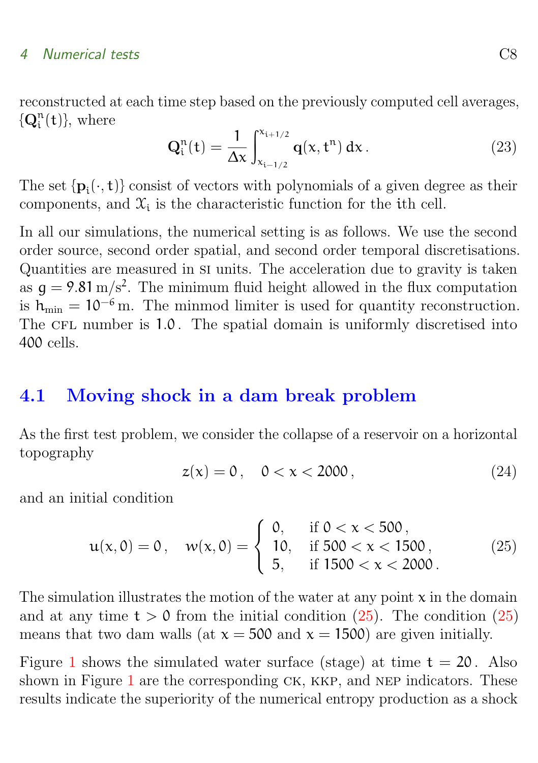reconstructed at each time step based on the previously computed cell averages,  $\{ \mathbf{Q}_\mathrm{i}^\mathrm{n}$  $_{i}^{n}(t)$ , where

$$
Q_i^n(t) = \frac{1}{\Delta x} \int_{x_{i-1/2}}^{x_{i+1/2}} q(x, t^n) dx.
$$
 (23)

The set  $\{p_i(\cdot, t)\}$  consist of vectors with polynomials of a given degree as their components, and  $\mathfrak{X}_i$  is the characteristic function for the ith cell.

In all our simulations, the numerical setting is as follows. We use the second order source, second order spatial, and second order temporal discretisations. Quantities are measured in si units. The acceleration due to gravity is taken as  $g = 9.81 \text{ m/s}^2$ . The minimum fluid height allowed in the flux computation is  $h_{\min} = 10^{-6}$  m. The minmod limiter is used for quantity reconstruction. The CFL number is 1.0. The spatial domain is uniformly discretised into 400 cells.

### <span id="page-7-0"></span>4.1 Moving shock in a dam break problem

As the first test problem, we consider the collapse of a reservoir on a horizontal topography

$$
z(x) = 0, \quad 0 < x < 2000 \tag{24}
$$

and an initial condition

<span id="page-7-1"></span>
$$
u(x,0) = 0, \quad w(x,0) = \begin{cases} 0, & \text{if } 0 < x < 500, \\ 10, & \text{if } 500 < x < 1500, \\ 5, & \text{if } 1500 < x < 2000. \end{cases}
$$
 (25)

The simulation illustrates the motion of the water at any point  $x$  in the domain and at any time  $t > 0$  from the initial condition  $(25)$ . The condition  $(25)$ means that two dam walls (at  $x = 500$  and  $x = 1500$ ) are given initially.

Figure [1](#page-8-0) shows the simulated water surface (stage) at time  $t = 20$ . Also shown in Figure [1](#page-8-0) are the corresponding  $CK$ ,  $KKP$ , and NEP indicators. These results indicate the superiority of the numerical entropy production as a shock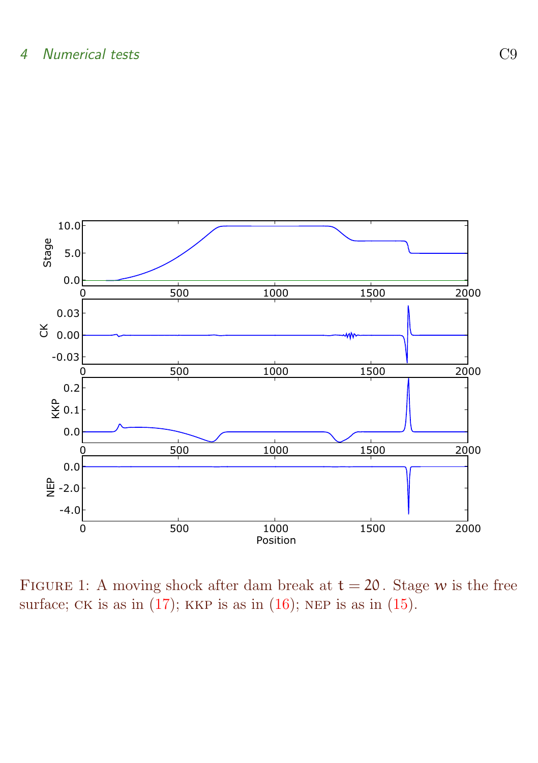

<span id="page-8-0"></span>FIGURE 1: A moving shock after dam break at  $t = 20$ . Stage w is the free surface; CK is as in  $(17)$ ; KKP is as in  $(16)$ ; NEP is as in  $(15)$ .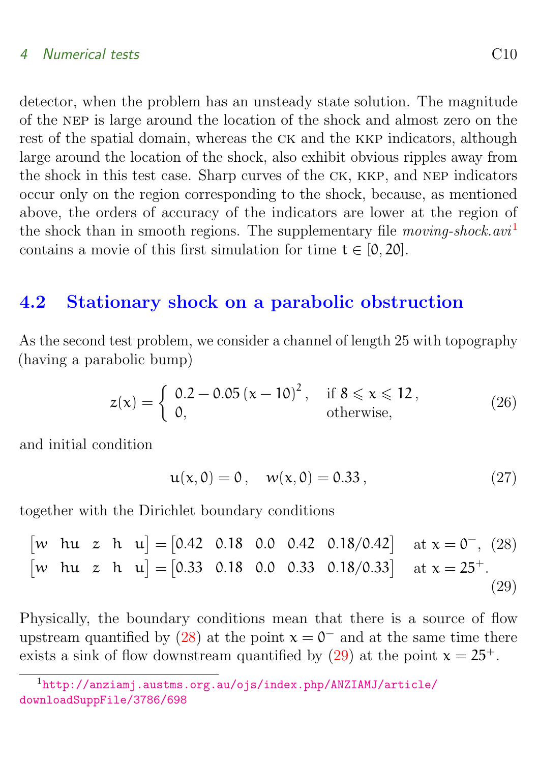detector, when the problem has an unsteady state solution. The magnitude of the nep is large around the location of the shock and almost zero on the rest of the spatial domain, whereas the CK and the KKP indicators, although large around the location of the shock, also exhibit obvious ripples away from the shock in this test case. Sharp curves of the ck, kkp, and nep indicators occur only on the region corresponding to the shock, because, as mentioned above, the orders of accuracy of the indicators are lower at the region of the shock than in smooth regions. The supplementary file moving-shock.avi<sup>[1](#page-9-1)</sup> contains a movie of this first simulation for time  $t \in [0, 20]$ .

### <span id="page-9-0"></span>4.2 Stationary shock on a parabolic obstruction

As the second test problem, we consider a channel of length 25 with topography (having a parabolic bump)

$$
z(x) = \begin{cases} 0.2 - 0.05 (x - 10)^2, & \text{if } 8 \le x \le 12, \\ 0, & \text{otherwise,} \end{cases}
$$
 (26)

and initial condition

<span id="page-9-4"></span><span id="page-9-3"></span><span id="page-9-2"></span>
$$
u(x,0) = 0, \quad w(x,0) = 0.33, \tag{27}
$$

together with the Dirichlet boundary conditions

$$
\begin{bmatrix} w & \text{hu} & z & \text{h} & u \end{bmatrix} = \begin{bmatrix} 0.42 & 0.18 & 0.0 & 0.42 & 0.18/0.42 \end{bmatrix} \text{ at } x = 0^-, (28)
$$
  
\n
$$
\begin{bmatrix} w & \text{hu} & z & \text{h} & u \end{bmatrix} = \begin{bmatrix} 0.33 & 0.18 & 0.0 & 0.33 & 0.18/0.33 \end{bmatrix} \text{ at } x = 25^+.
$$
  
\n(29)

Physically, the boundary conditions mean that there is a source of flow upstream quantified by [\(28\)](#page-9-2) at the point  $x = 0^-$  and at the same time there exists a sink of flow downstream quantified by [\(29\)](#page-9-3) at the point  $x = 25^+$ .

<span id="page-9-1"></span><sup>1</sup>[http://anziamj.austms.org.au/ojs/index.php/ANZIAMJ/article/](http://anziamj.austms.org.au/ojs/index.php/ANZIAMJ/article/downloadSuppFile/3786/698) [downloadSuppFile/3786/698](http://anziamj.austms.org.au/ojs/index.php/ANZIAMJ/article/downloadSuppFile/3786/698)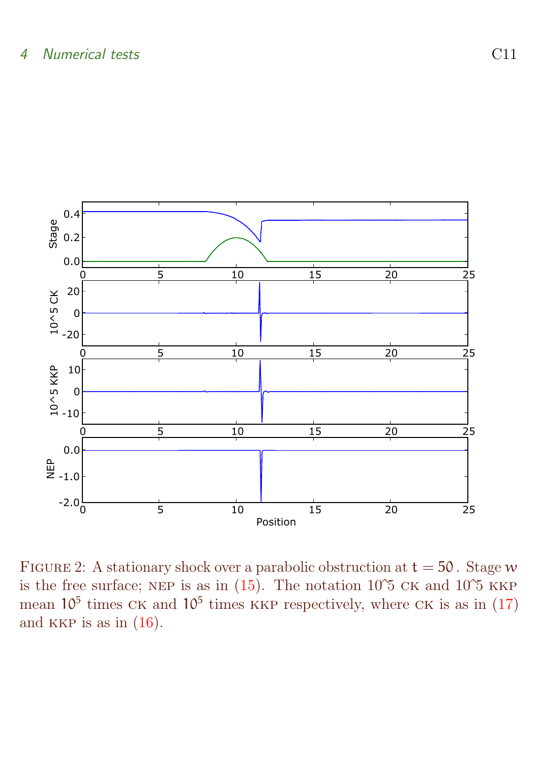

<span id="page-10-0"></span>FIGURE 2: A stationary shock over a parabolic obstruction at  $t = 50$ . Stage w is the free surface; NEP is as in  $(15)$ . The notation 10<sup> $\circ$ </sup>5 cK and 10<sup> $\circ$ </sup>5 KKP mean  $10^5$  times CK and  $10^5$  times KKP respectively, where CK is as in [\(17\)](#page-5-2) and KKP is as in  $(16)$ .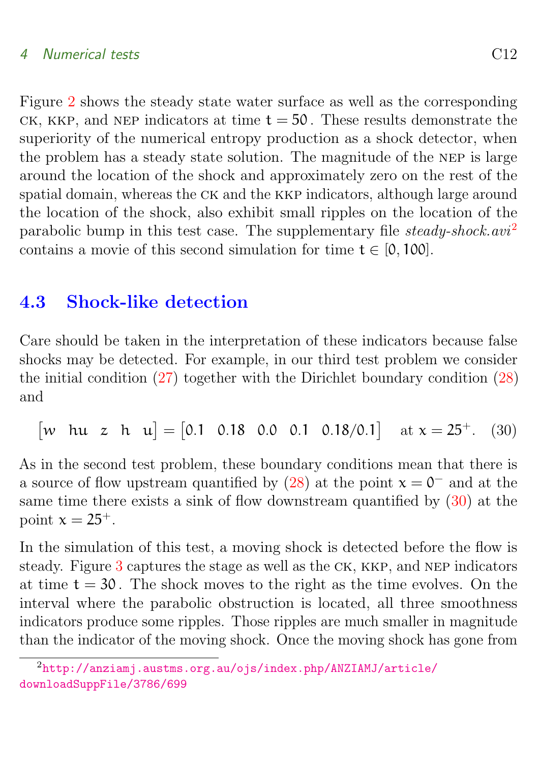Figure [2](#page-10-0) shows the steady state water surface as well as the corresponding CK, KKP, and NEP indicators at time  $t = 50$ . These results demonstrate the superiority of the numerical entropy production as a shock detector, when the problem has a steady state solution. The magnitude of the nep is large around the location of the shock and approximately zero on the rest of the spatial domain, whereas the ck and the kkp indicators, although large around the location of the shock, also exhibit small ripples on the location of the parabolic bump in this test case. The supplementary file steady-shock.avi<sup>[2](#page-11-1)</sup> contains a movie of this second simulation for time  $t \in [0, 100]$ .

### <span id="page-11-0"></span>4.3 Shock-like detection

Care should be taken in the interpretation of these indicators because false shocks may be detected. For example, in our third test problem we consider the initial condition [\(27\)](#page-9-4) together with the Dirichlet boundary condition [\(28\)](#page-9-2) and

<span id="page-11-2"></span>[w hu z h u] =  $[0.1 \t0.18 \t0.0 \t0.1 \t0.18/0.1]$  at  $x = 25^+$ . (30)

As in the second test problem, these boundary conditions mean that there is a source of flow upstream quantified by  $(28)$  at the point  $x = 0^-$  and at the same time there exists a sink of flow downstream quantified by [\(30\)](#page-11-2) at the point  $x = 25^+$ .

In the simulation of this test, a moving shock is detected before the flow is steady. Figure [3](#page-12-0) captures the stage as well as the ck, kkp, and nep indicators at time  $t = 30$ . The shock moves to the right as the time evolves. On the interval where the parabolic obstruction is located, all three smoothness indicators produce some ripples. Those ripples are much smaller in magnitude than the indicator of the moving shock. Once the moving shock has gone from

<span id="page-11-1"></span><sup>2</sup>[http://anziamj.austms.org.au/ojs/index.php/ANZIAMJ/article/](http://anziamj.austms.org.au/ojs/index.php/ANZIAMJ/article/downloadSuppFile/3786/699) [downloadSuppFile/3786/699](http://anziamj.austms.org.au/ojs/index.php/ANZIAMJ/article/downloadSuppFile/3786/699)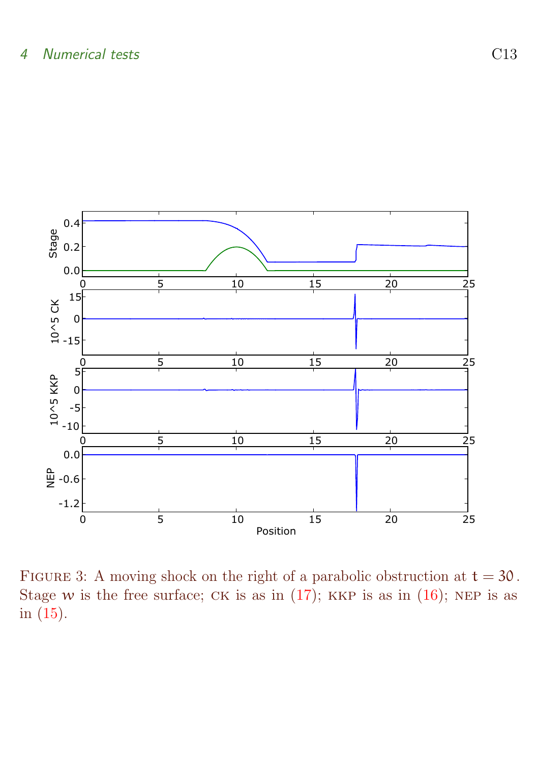

<span id="page-12-0"></span>FIGURE 3: A moving shock on the right of a parabolic obstruction at  $t = 30$ . Stage w is the free surface; CK is as in  $(17)$ ; KKP is as in  $(16)$ ; NEP is as in [\(15\)](#page-4-1).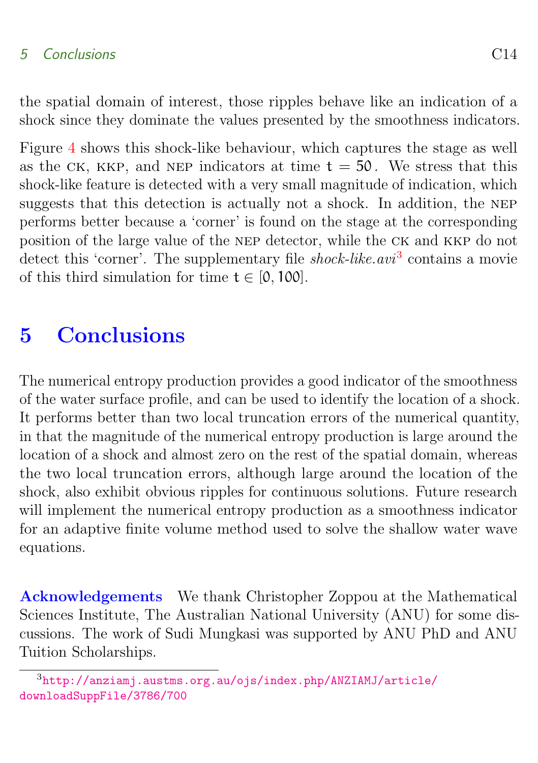the spatial domain of interest, those ripples behave like an indication of a shock since they dominate the values presented by the smoothness indicators.

Figure [4](#page-14-0) shows this shock-like behaviour, which captures the stage as well as the CK, KKP, and NEP indicators at time  $t = 50$ . We stress that this shock-like feature is detected with a very small magnitude of indication, which suggests that this detection is actually not a shock. In addition, the nep performs better because a 'corner' is found on the stage at the corresponding position of the large value of the nep detector, while the ck and kkp do not detect this 'corner'. The supplementary file *shock-like.avi*<sup>[3](#page-13-1)</sup> contains a movie of this third simulation for time  $t \in [0, 100]$ .

# <span id="page-13-0"></span>5 Conclusions

The numerical entropy production provides a good indicator of the smoothness of the water surface profile, and can be used to identify the location of a shock. It performs better than two local truncation errors of the numerical quantity, in that the magnitude of the numerical entropy production is large around the location of a shock and almost zero on the rest of the spatial domain, whereas the two local truncation errors, although large around the location of the shock, also exhibit obvious ripples for continuous solutions. Future research will implement the numerical entropy production as a smoothness indicator for an adaptive finite volume method used to solve the shallow water wave equations.

Acknowledgements We thank Christopher Zoppou at the Mathematical Sciences Institute, The Australian National University (ANU) for some discussions. The work of Sudi Mungkasi was supported by ANU PhD and ANU Tuition Scholarships.

<span id="page-13-1"></span><sup>3</sup>[http://anziamj.austms.org.au/ojs/index.php/ANZIAMJ/article/](http://anziamj.austms.org.au/ojs/index.php/ANZIAMJ/article/downloadSuppFile/3786/700) [downloadSuppFile/3786/700](http://anziamj.austms.org.au/ojs/index.php/ANZIAMJ/article/downloadSuppFile/3786/700)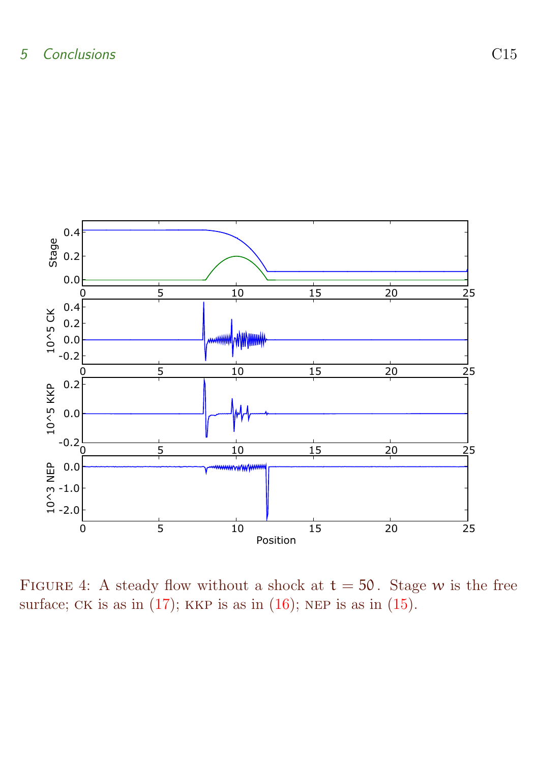

<span id="page-14-0"></span>FIGURE 4: A steady flow without a shock at  $t = 50$ . Stage w is the free surface; CK is as in  $(17)$ ; KKP is as in  $(16)$ ; NEP is as in  $(15)$ .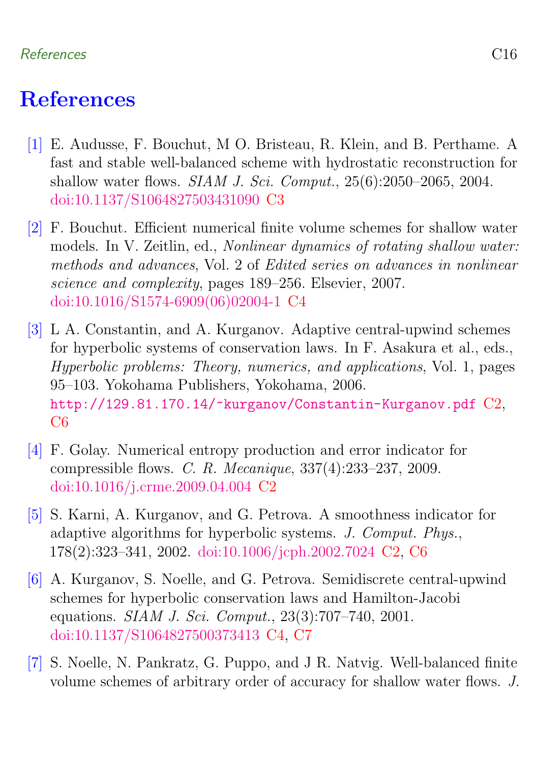### References C16

# <span id="page-15-0"></span>References

- <span id="page-15-4"></span>[1] E. Audusse, F. Bouchut, M O. Bristeau, R. Klein, and B. Perthame. A fast and stable well-balanced scheme with hydrostatic reconstruction for shallow water flows. SIAM J. Sci. Comput., 25(6):2050–2065, 2004. [doi:10.1137/S1064827503431090](http://dx.doi.org/10.1137/S1064827503431090) [C3](#page-2-4)
- <span id="page-15-7"></span>[2] F. Bouchut. Efficient numerical finite volume schemes for shallow water models. In V. Zeitlin, ed., Nonlinear dynamics of rotating shallow water: methods and advances, Vol. 2 of Edited series on advances in nonlinear science and complexity, pages 189–256. Elsevier, 2007. [doi:10.1016/S1574-6909\(06\)02004-1](http://dx.doi.org/10.1016/S1574-6909(06)02004-1) [C4](#page-3-2)
- <span id="page-15-3"></span>[3] L A. Constantin, and A. Kurganov. Adaptive central-upwind schemes for hyperbolic systems of conservation laws. In F. Asakura et al., eds., Hyperbolic problems: Theory, numerics, and applications, Vol. 1, pages 95–103. Yokohama Publishers, Yokohama, 2006. <http://129.81.170.14/~kurganov/Constantin-Kurganov.pdf> [C2,](#page-1-2) C<sub>6</sub>
- <span id="page-15-1"></span>[4] F. Golay. Numerical entropy production and error indicator for compressible flows. C. R. Mecanique, 337(4):233–237, 2009. [doi:10.1016/j.crme.2009.04.004](http://dx.doi.org/10.1016/j.crme.2009.04.004) [C2](#page-1-2)
- <span id="page-15-2"></span>[5] S. Karni, A. Kurganov, and G. Petrova. A smoothness indicator for adaptive algorithms for hyperbolic systems. J. Comput. Phys., 178(2):323–341, 2002. [doi:10.1006/jcph.2002.7024](http://dx.doi.org/10.1006/jcph.2002.7024) [C2,](#page-1-2) [C6](#page-5-3)
- <span id="page-15-6"></span>[6] A. Kurganov, S. Noelle, and G. Petrova. Semidiscrete central-upwind schemes for hyperbolic conservation laws and Hamilton-Jacobi equations. SIAM J. Sci. Comput., 23(3):707–740, 2001. [doi:10.1137/S1064827500373413](http://dx.doi.org/10.1137/S1064827500373413) [C4,](#page-3-2) [C7](#page-6-0)
- <span id="page-15-5"></span>[7] S. Noelle, N. Pankratz, G. Puppo, and J R. Natvig. Well-balanced finite volume schemes of arbitrary order of accuracy for shallow water flows. J.